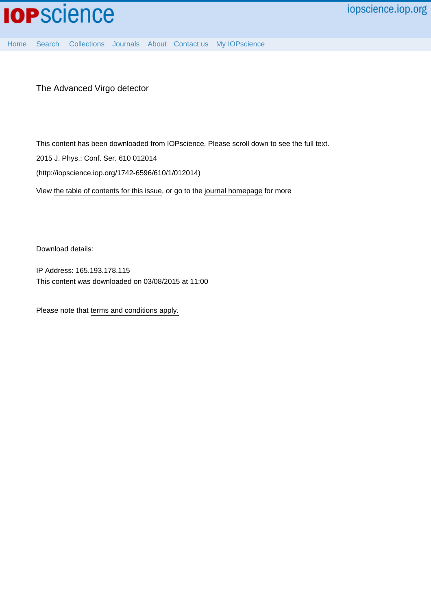

[Home](http://iopscience.iop.org/) [Search](http://iopscience.iop.org/search) [Collections](http://iopscience.iop.org/collections) [Journals](http://iopscience.iop.org/journals) [About](http://iopscience.iop.org/page/aboutioppublishing) [Contact us](http://iopscience.iop.org/contact) [My IOPscience](http://iopscience.iop.org/myiopscience)

The Advanced Virgo detector

This content has been downloaded from IOPscience. Please scroll down to see the full text. 2015 J. Phys.: Conf. Ser. 610 012014 (http://iopscience.iop.org/1742-6596/610/1/012014)

View [the table of contents for this issue](http://iopscience.iop.org/1742-6596/610/1), or go to the [journal homepage](http://iopscience.iop.org/1742-6596) for more

Download details:

IP Address: 165.193.178.115 This content was downloaded on 03/08/2015 at 11:00

Please note that [terms and conditions apply.](iopscience.iop.org/page/terms)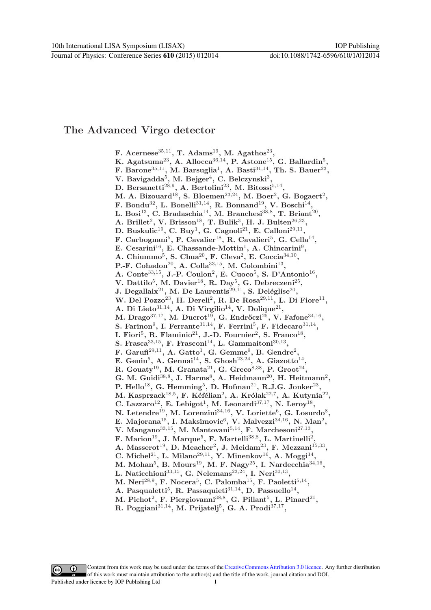Journal of Physics: Conference Series **610** (2015) 012014 doi:10.1088/1742-6596/610/1/012014

# **The Advanced Virgo detector**

**F. Acernese**35,11**, T. Adams**19**, M. Agathos**23**, K. Agatsuma**23**, A. Allocca**36,14**, P. Astone**15**, G. Ballardin**5**, F. Barone**35,11**, M. Barsuglia**1**, A. Basti**31,14**, Th. S. Bauer**23**, V. Bavigadda**5**, M. Bejger**4**, C. Belczynski**3**, D. Bersanetti**28,9**, A. Bertolini**23**, M. Bitossi**5,14**, M. A. Bizouard**18**, S. Bloemen**23,24**, M. Boer**2**, G. Bogaert**2**, F. Bondu**32**, L. Bonelli**31,14**, R. Bonnand**19**, V. Boschi**14**, L. Bosi**13**, C. Bradaschia**14**, M. Branchesi**38,8**, T. Briant**20**, A. Brillet**2**, V. Brisson**18**, T. Bulik**3**, H. J. Bulten**26,23**, D. Buskulic**19**, C. Buy**1**, G. Cagnoli**21**, E. Calloni**29,11**, F. Carbognani**<sup>5</sup>**, F. Cavalier**18**, R. Cavalieri**5**, G. Cella**14**, E. Cesarini**<sup>16</sup>**, E. Chassande-Mottin**<sup>1</sup>**, A. Chincarini**<sup>9</sup>**, A. Chiummo**<sup>5</sup>**, S. Chua**<sup>20</sup>**, F. Cleva**<sup>2</sup>**, E. Coccia**<sup>34</sup>,<sup>10</sup>**, P.-F. Cohadon**<sup>20</sup>**, A. Colla**<sup>33</sup>,<sup>15</sup>**, M. Colombini**<sup>13</sup>**, A. Conte**<sup>33</sup>,<sup>15</sup>**, J.-P. Coulon**<sup>2</sup>**, E. Cuoco**<sup>5</sup>**, S. D'Antonio**<sup>16</sup>**, V. Dattilo**<sup>5</sup>**, M. Davier**<sup>18</sup>**, R. Day**<sup>5</sup>**, G. Debreczeni**<sup>25</sup>**, J.** Degallaix<sup>21</sup>, M. De Laurentis<sup>29,11</sup>, S. Deléglise<sup>20</sup>, **W. Del Pozzo**<sup>23</sup>**, H. Dereli**<sup>2</sup>**, R. De Rosa**<sup>29</sup>,<sup>11</sup>**, L. Di Fiore**<sup>11</sup>**, A. Di Lieto**<sup>31</sup>,<sup>14</sup>**, A. Di Virgilio**<sup>14</sup>**, V. Dolique**<sup>21</sup>**,**  $M.$  Drago $^{37,17}$ , M. Ducrot $^{19}$ , G. Endrőczi $^{25}$ , V. Fafone $^{34,16}$ , **S. Farinon**<sup>9</sup>**, I. Ferrante**<sup>31</sup>,<sup>14</sup>**, F. Ferrini**<sup>5</sup>**, F. Fidecaro**<sup>31</sup>,<sup>14</sup>**, I. Fiori**<sup>5</sup>**, R. Flaminio**<sup>21</sup>**, J.-D. Fournier**<sup>2</sup>**, S. Franco**<sup>18</sup>**, S. Frasca**<sup>33</sup>,<sup>15</sup>**, F. Frasconi**<sup>14</sup>**, L. Gammaitoni**<sup>30</sup>,<sup>13</sup>**, F. Garufi**<sup>29</sup>,<sup>11</sup>**, A. Gatto**<sup>1</sup>**, G. Gemme**<sup>9</sup>**, B. Gendre**<sup>2</sup>**, E. Genin**<sup>5</sup>**, A. Gennai**<sup>14</sup>**, S. Ghosh**<sup>23</sup>,<sup>24</sup>**, A. Giazotto**<sup>14</sup>**, R. Gouaty**<sup>19</sup>**, M. Granata**<sup>21</sup>**, G. Greco**<sup>8</sup>,<sup>38</sup>**, P. Groot**<sup>24</sup>**, G. M. Guidi**<sup>38</sup>,<sup>8</sup>**, J. Harms**<sup>8</sup>**, A. Heidmann**<sup>20</sup>**, H. Heitmann**<sup>2</sup>**, P. Hello**<sup>18</sup>**, G. Hemming**<sup>5</sup>**, D. Hofman**<sup>21</sup>**, R.J.G. Jonker**<sup>23</sup>**, M. Kasprzack**<sup>18</sup>,<sup>5</sup>**, F. K´ef´elian**<sup>2</sup>**, A. Kr´olak**<sup>22</sup>,<sup>7</sup>**, A. Kutynia**<sup>22</sup>**, C. Lazzaro**<sup>12</sup>**, E. Lebigot**<sup>1</sup>**, M. Leonardi**<sup>37</sup>,<sup>17</sup>**, N. Leroy**<sup>18</sup>**, N. Letendre**<sup>19</sup>**, M. Lorenzini**<sup>34</sup>,<sup>16</sup>**, V. Loriette**<sup>6</sup>**, G. Losurdo**<sup>8</sup>**, E. Majorana**<sup>15</sup>**, I. Maksimovic**<sup>6</sup>**, V. Malvezzi**<sup>34</sup>,<sup>16</sup>**, N. Man**<sup>2</sup>**, V. Mangano**<sup>33</sup>,<sup>15</sup>**, M. Mantovani**<sup>5</sup>,<sup>14</sup>**, F. Marchesoni**<sup>27</sup>,<sup>13</sup>**, F. Marion**<sup>19</sup>**, J. Marque**<sup>5</sup>**, F. Martelli**<sup>38</sup>,<sup>8</sup>**, L. Martinelli**<sup>2</sup>**, A. Masserot**<sup>19</sup>**, D. Meacher**<sup>2</sup>**, J. Meidam**<sup>23</sup>**, F. Mezzani**<sup>15</sup>,<sup>33</sup>**, C. Michel**<sup>21</sup>**, L. Milano**<sup>29</sup>,<sup>11</sup>**, Y. Minenkov**<sup>16</sup>**, A. Moggi**<sup>14</sup>**, M. Mohan**<sup>5</sup>**, B. Mours**<sup>19</sup>**, M. F. Nagy**<sup>25</sup>**, I. Nardecchia**<sup>34</sup>,<sup>16</sup>**, L. Naticchioni**<sup>33</sup>,<sup>15</sup>**, G. Nelemans**<sup>23</sup>,<sup>24</sup>**, I. Neri**<sup>30</sup>,<sup>13</sup>**, M. Neri**<sup>28</sup>,<sup>9</sup>**, F. Nocera**<sup>5</sup>**, C. Palomba**<sup>15</sup>**, F. Paoletti**<sup>5</sup>,<sup>14</sup>**, A. Pasqualetti**<sup>5</sup>**, R. Passaquieti**<sup>31</sup>,<sup>14</sup>**, D. Passuello**<sup>14</sup>**, M. Pichot**<sup>2</sup>**, F. Piergiovanni**<sup>38</sup>,<sup>8</sup>**, G. Pillant**<sup>5</sup>**, L. Pinard**<sup>21</sup>**, R. Poggiani**<sup>31</sup>,<sup>14</sup>**, M. Prijatelj**<sup>5</sup>**, G. A. Prodi**<sup>37</sup>,<sup>17</sup>**,**

Content from this work may be used under the terms of the Creative Commons Attribution 3.0 licence. Any further distribution  $\left( \cdot \right)$ (cc) of this work must maintain attribution to the author(s) and the title of the work, journal citation and DOI. Published under licence by IOP Publishing Ltd 1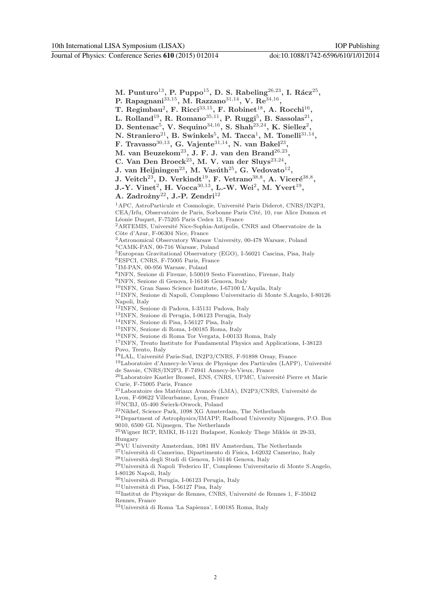**M. Punturo**<sup>13</sup>**, P. Puppo**<sup>15</sup>**, D. S. Rabeling**<sup>26</sup>,<sup>23</sup>**, I. R´acz**<sup>25</sup>**,**

**P. Rapagnani**<sup>33</sup>,<sup>15</sup>**, M. Razzano**<sup>31</sup>,<sup>14</sup>**, V. Re**<sup>34</sup>,<sup>16</sup>**,**

**T. Regimbau**<sup>2</sup>**, F. Ricci**<sup>33</sup>,<sup>15</sup>**, F. Robinet**<sup>18</sup>**, A. Rocchi**<sup>16</sup>**,**

**L. Rolland**<sup>19</sup>**, R. Romano**<sup>35</sup>,<sup>11</sup>**, P. Ruggi**<sup>5</sup>**, B. Sassolas**<sup>21</sup>**,**

**D. Sentenac**<sup>5</sup>**, V. Sequino**<sup>34</sup>,<sup>16</sup>**, S. Shah**<sup>23</sup>,<sup>24</sup>**, K. Siellez**<sup>2</sup>**,**

 $N.$  Straniero<sup>21</sup>, B. Swinkels<sup>5</sup>, M. Tacca<sup>1</sup>, M. Tonelli<sup>31,14</sup>,

**F. Travasso**<sup>30</sup>,<sup>13</sup>**, G. Vajente**<sup>31</sup>,<sup>14</sup>**, N. van Bakel**<sup>23</sup>**,**

**M. van Beuzekom**<sup>23</sup>**, J. F. J. van den Brand**<sup>26</sup>,<sup>23</sup>**,**

**C. Van Den Broeck**<sup>23</sup>**, M. V. van der Sluys**<sup>23</sup>,<sup>24</sup>**,**

 $J.$  van Heijningen<sup>23</sup>, M. Vasúth<sup>25</sup>, G. Vedovato<sup>12</sup>,

**J.** Veitch<sup>23</sup>, D. Verkindt<sup>19</sup>, F. Vetrano<sup>38,8</sup>, A. Viceré<sup>38,8</sup>,

**J.-Y. Vinet**<sup>2</sup>**, H. Vocca**<sup>30</sup>,<sup>13</sup>**, L.-W. Wei**<sup>2</sup>**, M. Yvert**<sup>19</sup>**,**

A. Zadrożny<sup>22</sup>, J.-P. Zendri<sup>12</sup>

<sup>1</sup>APC, AstroParticule et Cosmologie, Université Paris Diderot, CNRS/IN2P3,  $\rm CEA/Irfu,$  Observatoire de Paris, Sorbonne Paris Cité, 10, rue Alice Domon et

Léonie Duquet, F-75205 Paris Cedex 13, France

<sup>2</sup>ARTEMIS, Université Nice-Sophia-Antipolis, CNRS and Observatoire de la Côte d'Azur, F-06304 Nice, France

<sup>3</sup>Astronomical Observatory Warsaw University, 00-478 Warsaw, Poland

<sup>4</sup>CAMK-PAN, 00-716 Warsaw, Poland

<sup>5</sup>European Gravitational Observatory (EGO), I-56021 Cascina, Pisa, Italy

<sup>6</sup>ESPCI, CNRS, F-75005 Paris, France <sup>7</sup>IM-PAN, 00-956 Warsaw, Poland

<sup>8</sup>INFN, Sezione di Firenze, I-50019 Sesto Fiorentino, Firenze, Italy

<sup>9</sup>INFN, Sezione di Genova, I-16146 Genova, Italy

 $^{10}\rm{INFN},$  Gran Sasso Science Institute, I-67100 L'Aquila, Italy

<sup>11</sup>INFN, Sezione di Napoli, Complesso Universitario di Monte S.Angelo, I-80126 Napoli, Italy

<sup>12</sup>INFN, Sezione di Padova, I-35131 Padova, Italy

<sup>13</sup>INFN, Sezione di Perugia, I-06123 Perugia, Italy

<sup>14</sup>INFN, Sezione di Pisa, I-56127 Pisa, Italy

<sup>15</sup>INFN, Sezione di Roma, I-00185 Roma, Italy

<sup>16</sup>INFN, Sezione di Roma Tor Vergata, I-00133 Roma, Italy

<sup>17</sup>INFN, Trento Institute for Fundamental Physics and Applications, I-38123 Povo, Trento, Italy

<sup>18</sup>LAL, Université Paris-Sud, IN2P3/CNRS, F-91898 Orsay, France

 $^{19}$ Laboratoire d'Annecy-le-Vieux de Physique des Particules (LAPP), Université de Savoie, CNRS/IN2P3, F-74941 Annecy-le-Vieux, France

 $^{20}\rm{Laboratoire}$  Kastler Brossel, ENS, CNRS, UPMC, Université Pierre et Marie

Curie, F-75005 Paris, France

 $^{21}$ Laboratoire des Matériaux Avancés (LMA), IN2P3/CNRS, Université de

Lyon, F-69622 Villeurbanne, Lyon, France

 $22$ NCBJ, 05-400 Świerk-Otwock, Poland <sup>23</sup>Nikhef, Science Park, 1098 XG Amsterdam, The Netherlands

<sup>24</sup>Department of Astrophysics/IMAPP, Radboud University Nijmegen, P.O. Box 9010, 6500 GL Nijmegen, The Netherlands

 $^{25}$ Wigner RCP, RMKI, H-1121 Budapest, Konkoly Thege Miklós út 29-33, Hungary

<sup>26</sup>VU University Amsterdam, 1081 HV Amsterdam, The Netherlands

 $^{27}{\rm Università}$  di Camerino, Dipartimento di Fisica, I-62032 Camerino, Italy

<sup>28</sup>Università degli Studi di Genova, I-16146 Genova, Italy

 $^{29}$ Università di Napoli 'Federico II', Complesso Universitario di Monte S.Angelo,

I-80126 Napoli, Italy

<sup>30</sup>Universit`a di Perugia, I-06123 Perugia, Italy

<sup>31</sup>Università di Pisa, I-56127 Pisa, Italy

 $^{32}\rm{Institut}$  de Physique de Rennes, CNRS, Université de Rennes 1, F-35042 Rennes, France

 $^{33}$ Università di Roma 'La Sapienza', I-00185 Roma, Italy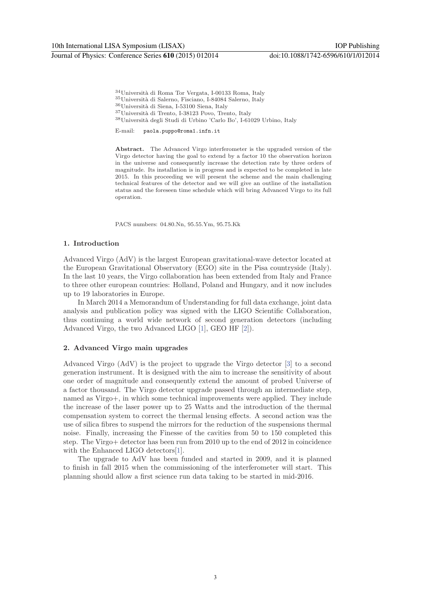$34$ Università di Roma Tor Vergata, I-00133 Roma, Italy  $^{35}$ Università di Salerno, Fisciano, I-84084 Salerno, Italy 36 Università di Siena, I-53100 Siena, Italy  $37$ Università di Trento, I-38123 Povo, Trento, Italy <sup>38</sup>Universit`a degli Studi di Urbino 'Carlo Bo', I-61029 Urbino, Italy

E-mail: paola.puppo@roma1.infn.it

**Abstract.** The Advanced Virgo interferometer is the upgraded version of the Virgo detector having the goal to extend by a factor 10 the observation horizon in the universe and consequently increase the detection rate by three orders of magnitude. Its installation is in progress and is expected to be completed in late 2015. In this proceeding we will present the scheme and the main challenging technical features of the detector and we will give an outline of the installation status and the foreseen time schedule which will bring Advanced Virgo to its full operation.

PACS numbers: 04.80.Nn, 95.55.Ym, 95.75.Kk

#### **1. Introduction**

Advanced Virgo (AdV) is the largest European gravitational-wave detector located at the European Gravitational Observatory (EGO) site in the Pisa countryside (Italy). In the last 10 years, the Virgo collaboration has been extended from Italy and France to three other european countries: Holland, Poland and Hungary, and it now includes up to 19 laboratories in Europe.

In March 2014 a Memorandum of Understanding for full data exchange, joint data analysis and publication policy was signed with the LIGO Scientific Collaboration, thus continuing a world wide network of second generation detectors (including Advanced Virgo, the two Advanced LIGO [1], GEO HF [2]).

#### **2. Advanced Virgo main upgrades**

Advanced Virgo (AdV) is the project to upgrade the Virgo detector [3] to a second generation instrument. It is designed with the aim to increase the sensitivity of about one order of magnitude and consequently extend the amount of probed Universe of a factor thousand. The Virgo detector upgrade passed through an intermediate step, named as Virgo+, in which some technical improvements were applied. They include the increase of the laser power up to 25 Watts and the introduction of the thermal compensation system to correct the thermal lensing effects. A second action was the use of silica fibres to suspend the mirrors for the reduction of the suspensions thermal noise. Finally, increasing the Finesse of the cavities from 50 to 150 completed this step. The Virgo+ detector has been run from 2010 up to the end of 2012 in coincidence with the Enhanced LIGO detectors [1].

The upgrade to AdV has been funded and started in 2009, and it is planned to finish in fall 2015 when the commissioning of the interferometer will start. This planning should allow a first science run data taking to be started in mid-2016.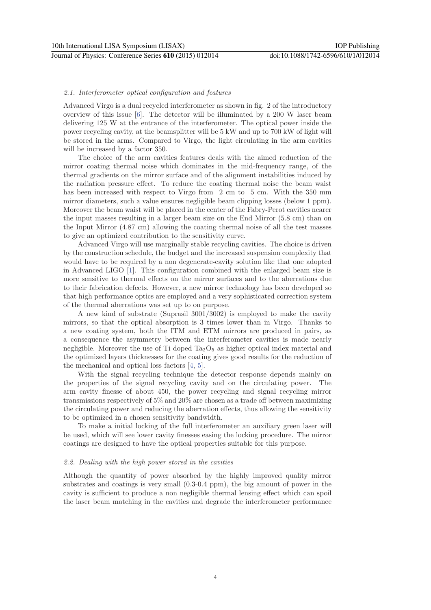## 2.1. Interferometer optical configuration and features

Advanced Virgo is a dual recycled interferometer as shown in fig. 2 of the introductory overview of this issue [6]. The detector will be illuminated by a 200 W laser beam delivering 125 W at the entrance of the interferometer. The optical power inside the power recycling cavity, at the beamsplitter will be 5 kW and up to 700 kW of light will be stored in the arms. Compared to Virgo, the light circulating in the arm cavities will be increased by a factor 350.

The choice of the arm cavities features deals with the aimed reduction of the mirror coating thermal noise which dominates in the mid-frequency range, of the thermal gradients on the mirror surface and of the alignment instabilities induced by the radiation pressure effect. To reduce the coating thermal noise the beam waist has been increased with respect to Virgo from 2 cm to 5 cm. With the 350 mm mirror diameters, such a value ensures negligible beam clipping losses (below 1 ppm). Moreover the beam waist will be placed in the center of the Fabry-Perot cavities nearer the input masses resulting in a larger beam size on the End Mirror (5.8 cm) than on the Input Mirror (4.87 cm) allowing the coating thermal noise of all the test masses to give an optimized contribution to the sensitivity curve.

Advanced Virgo will use marginally stable recycling cavities. The choice is driven by the construction schedule, the budget and the increased suspension complexity that would have to be required by a non degenerate-cavity solution like that one adopted in Advanced LIGO [1]. This configuration combined with the enlarged beam size is more sensitive to thermal effects on the mirror surfaces and to the aberrations due to their fabrication defects. However, a new mirror technology has been developed so that high performance optics are employed and a very sophisticated correction system of the thermal aberrations was set up to on purpose.

A new kind of substrate (Suprasil 3001/3002) is employed to make the cavity mirrors, so that the optical absorption is 3 times lower than in Virgo. Thanks to a new coating system, both the ITM and ETM mirrors are produced in pairs, as a consequence the asymmetry between the interferometer cavities is made nearly negligible. Moreover the use of Ti doped  $Ta_2O_5$  as higher optical index material and the optimized layers thicknesses for the coating gives good results for the reduction of the mechanical and optical loss factors [4, 5].

With the signal recycling technique the detector response depends mainly on the properties of the signal recycling cavity and on the circulating power. The arm cavity finesse of about 450, the power recycling and signal recycling mirror transmissions respectively of 5% and 20% are chosen as a trade off between maximizing the circulating power and reducing the aberration effects, thus allowing the sensitivity to be optimized in a chosen sensitivity bandwidth.

To make a initial locking of the full interferometer an auxiliary green laser will be used, which will see lower cavity finesses easing the locking procedure. The mirror coatings are designed to have the optical properties suitable for this purpose.

#### 2.2. Dealing with the high power stored in the cavities

Although the quantity of power absorbed by the highly improved quality mirror substrates and coatings is very small (0.3-0.4 ppm), the big amount of power in the cavity is sufficient to produce a non negligible thermal lensing effect which can spoil the laser beam matching in the cavities and degrade the interferometer performance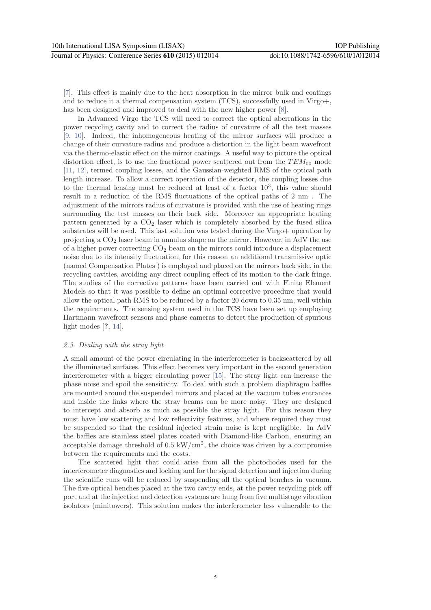[7]. This effect is mainly due to the heat absorption in the mirror bulk and coatings and to reduce it a thermal compensation system  $(TCS)$ , successfully used in Virgo+, has been designed and improved to deal with the new higher power [8].

In Advanced Virgo the TCS will need to correct the optical aberrations in the power recycling cavity and to correct the radius of curvature of all the test masses [9, 10]. Indeed, the inhomogeneous heating of the mirror surfaces will produce a change of their curvature radius and produce a distortion in the light beam wavefront via the thermo-elastic effect on the mirror coatings. A useful way to picture the optical distortion effect, is to use the fractional power scattered out from the  $TEM_{00}$  mode [11, 12], termed coupling losses, and the Gaussian-weighted RMS of the optical path length increase. To allow a correct operation of the detector, the coupling losses due to the thermal lensing must be reduced at least of a factor  $10<sup>3</sup>$ , this value should result in a reduction of the RMS fluctuations of the optical paths of 2 nm . The adjustment of the mirrors radius of curvature is provided with the use of heating rings surrounding the test masses on their back side. Moreover an appropriate heating pattern generated by a  $CO<sub>2</sub>$  laser which is completely absorbed by the fused silica substrates will be used. This last solution was tested during the Virgo+ operation by projecting a  $CO<sub>2</sub>$  laser beam in annulus shape on the mirror. However, in AdV the use of a higher power correcting  $CO<sub>2</sub>$  beam on the mirrors could introduce a displacement noise due to its intensity fluctuation, for this reason an additional transmissive optic (named Compensation Plates ) is employed and placed on the mirrors back side, in the recycling cavities, avoiding any direct coupling effect of its motion to the dark fringe. The studies of the corrective patterns have been carried out with Finite Element Models so that it was possible to define an optimal corrective procedure that would allow the optical path RMS to be reduced by a factor 20 down to 0.35 nm, well within the requirements. The sensing system used in the TCS have been set up employing Hartmann wavefront sensors and phase cameras to detect the production of spurious light modes [**?**, 14].

## 2.3. Dealing with the stray light

A small amount of the power circulating in the interferometer is backscattered by all the illuminated surfaces. This effect becomes very important in the second generation interferometer with a bigger circulating power [15]. The stray light can increase the phase noise and spoil the sensitivity. To deal with such a problem diaphragm baffles are mounted around the suspended mirrors and placed at the vacuum tubes entrances and inside the links where the stray beams can be more noisy. They are designed to intercept and absorb as much as possible the stray light. For this reason they must have low scattering and low reflectivity features, and where required they must be suspended so that the residual injected strain noise is kept negligible. In AdV the baffles are stainless steel plates coated with Diamond-like Carbon, ensuring an acceptable damage threshold of  $0.5 \text{ kW/cm}^2$ , the choice was driven by a compromise between the requirements and the costs.

The scattered light that could arise from all the photodiodes used for the interferometer diagnostics and locking and for the signal detection and injection during the scientific runs will be reduced by suspending all the optical benches in vacuum. The five optical benches placed at the two cavity ends, at the power recycling pick off port and at the injection and detection systems are hung from five multistage vibration isolators (minitowers). This solution makes the interferometer less vulnerable to the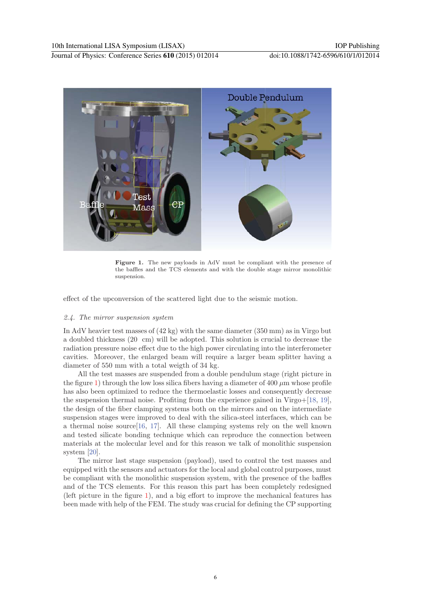

Figure 1. The new payloads in AdV must be compliant with the presence of the baffles and the TCS elements and with the double stage mirror monolithic suspension.

effect of the upconversion of the scattered light due to the seismic motion.

## 2.4. The mirror suspension system

In AdV heavier test masses of (42 kg) with the same diameter (350 mm) as in Virgo but a doubled thickness (20 cm) will be adopted. This solution is crucial to decrease the radiation pressure noise effect due to the high power circulating into the interferometer cavities. Moreover, the enlarged beam will require a larger beam splitter having a diameter of 550 mm with a total weigth of 34 kg.

All the test masses are suspended from a double pendulum stage (right picture in the figure 1) through the low loss silica fibers having a diameter of 400  $\mu$ m whose profile has also been optimized to reduce the thermoelastic losses and consequently decrease the suspension thermal noise. Profiting from the experience gained in Virgo+[18, 19], the design of the fiber clamping systems both on the mirrors and on the intermediate suspension stages were improved to deal with the silica-steel interfaces, which can be a thermal noise source[16, 17]. All these clamping systems rely on the well known and tested silicate bonding technique which can reproduce the connection between materials at the molecular level and for this reason we talk of monolithic suspension system [20].

The mirror last stage suspension (payload), used to control the test masses and equipped with the sensors and actuators for the local and global control purposes, must be compliant with the monolithic suspension system, with the presence of the baffles and of the TCS elements. For this reason this part has been completely redesigned (left picture in the figure 1), and a big effort to improve the mechanical features has been made with help of the FEM. The study was crucial for defining the CP supporting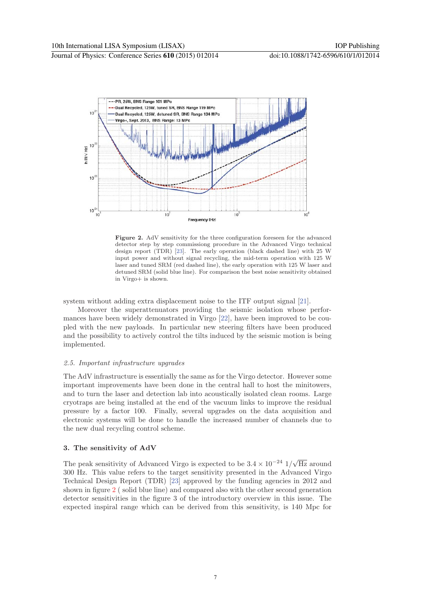

Figure 2. AdV sensitivity for the three configuration foreseen for the advanced detector step by step commissiong procedure in the Advanced Virgo technical design report (TDR) [23]. The early operation (black dashed line) with 25 W input power and without signal recycling, the mid-term operation with 125 W laser and tuned SRM (red dashed line), the early operation with 125 W laser and detuned SRM (solid blue line). For comparison the best noise sensitivity obtained in Virgo+ is shown.

system without adding extra displacement noise to the ITF output signal [21].

Moreover the superattenuators providing the seismic isolation whose performances have been widely demonstrated in Virgo [22], have been improved to be coupled with the new payloads. In particular new steering filters have been produced and the possibility to actively control the tilts induced by the seismic motion is being implemented.

## 2.5. Important infrastructure upgrades

The AdV infrastructure is essentially the same as for the Virgo detector. However some important improvements have been done in the central hall to host the minitowers, and to turn the laser and detection lab into acoustically isolated clean rooms. Large cryotraps are being installed at the end of the vacuum links to improve the residual pressure by a factor 100. Finally, several upgrades on the data acquisition and electronic systems will be done to handle the increased number of channels due to the new dual recycling control scheme.

## **3. The sensitivity of AdV**

The peak sensitivity of Advanced Virgo is expected to be  $3.4 \times 10^{-24}$  1/ $\sqrt{\text{Hz}}$  around 300 Hz. This value refers to the target sensitivity presented in the Advanced Virgo Technical Design Report (TDR) [23] approved by the funding agencies in 2012 and shown in figure 2 ( solid blue line) and compared also with the other second generation detector sensitivities in the figure 3 of the introductory overview in this issue. The expected inspiral range which can be derived from this sensitivity, is 140 Mpc for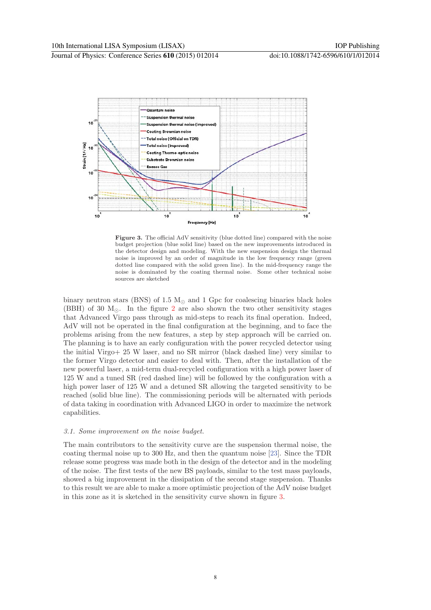

**Figure 3.** The official AdV sensitivity (blue dotted line) compared with the noise budget projection (blue solid line) based on the new improvements introduced in the detector design and modeling. With the new suspension design the thermal noise is improved by an order of magnitude in the low frequency range (green dotted line compared with the solid green line). In the mid-frequency range the noise is dominated by the coating thermal noise. Some other technical noise sources are sketched

binary neutron stars (BNS) of 1.5  $M_{\odot}$  and 1 Gpc for coalescing binaries black holes (BBH) of 30  $M_{\odot}$ . In the figure 2 are also shown the two other sensitivity stages that Advanced Virgo pass through as mid-steps to reach its final operation. Indeed, AdV will not be operated in the final configuration at the beginning, and to face the problems arising from the new features, a step by step approach will be carried on. The planning is to have an early configuration with the power recycled detector using the initial Virgo+ 25 W laser, and no SR mirror (black dashed line) very similar to the former Virgo detector and easier to deal with. Then, after the installation of the new powerful laser, a mid-term dual-recycled configuration with a high power laser of 125 W and a tuned SR (red dashed line) will be followed by the configuration with a high power laser of 125 W and a detuned SR allowing the targeted sensitivity to be reached (solid blue line). The commissioning periods will be alternated with periods of data taking in coordination with Advanced LIGO in order to maximize the network capabilities.

## 3.1. Some improvement on the noise budget.

The main contributors to the sensitivity curve are the suspension thermal noise, the coating thermal noise up to 300 Hz, and then the quantum noise [23]. Since the TDR release some progress was made both in the design of the detector and in the modeling of the noise. The first tests of the new BS payloads, similar to the test mass payloads, showed a big improvement in the dissipation of the second stage suspension. Thanks to this result we are able to make a more optimistic projection of the AdV noise budget in this zone as it is sketched in the sensitivity curve shown in figure 3.